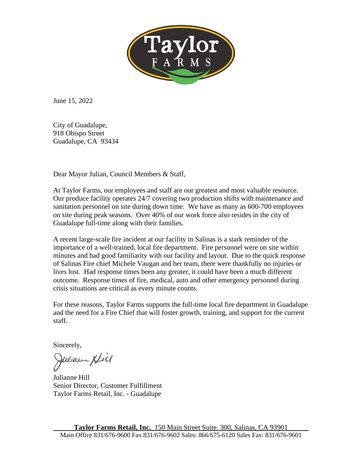

June 15, 2022

City of Guadalupe, 918 Obispo Street Guadalupe, CA 93434

Dear Mayor Julian, Council Members & Staff,

At Taylor Farms, our employees and staff are our greatest and most valuable resource. Our produce facility operates 24/7 covering two production shifts with maintenance and sanitation personnel on site during down time. We have as many as 600-700 employees on site during peak seasons. Over 40% of our work force also resides in the city of Guadalupe full-time along with their families.

A recent large-scale fire incident at our facility in Salinas is a stark reminder of the importance of a well-trained, local fire department. Fire personnel were on site within minutes and had good familiarity with our facility and layout. Due to the quick response of Salinas Fire chief Michele Vaugan and her team, there were thankfully no injuries or lives lost. Had response times been any greater, it could have been a much different outcome. Response times of fire, medical, auto and other emergency personnel during crisis situations are critical as every minute counts.

For these reasons, Taylor Farms supports the full-time local fire department in Guadalupe and the need for a Fire Chief that will foster growth, training, and support for the current staff.

Sincerely,

Julian Xfèl

Julianne Hill Senior Director, Customer Fulfillment Taylor Farms Retail, Inc. - Guadalupe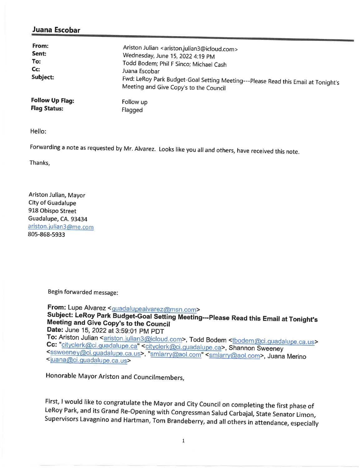## Juana Escobar

| From:<br>Sent:<br>To:<br>$Cc$ :<br>Subject: | Ariston Julian <ariston.julian3@icloud.com><br/>Wednesday, June 15, 2022 4:19 PM<br/>Todd Bodem; Phil F Sinco; Michael Cash<br/>Juana Escobar<br/>Fwd: LeRoy Park Budget-Goal Setting Meeting---Please Read this Email at Tonight's<br/>Meeting and Give Copy's to the Council</ariston.julian3@icloud.com> |
|---------------------------------------------|-------------------------------------------------------------------------------------------------------------------------------------------------------------------------------------------------------------------------------------------------------------------------------------------------------------|
| <b>Follow Up Flag:</b>                      | Follow up                                                                                                                                                                                                                                                                                                   |
| <b>Flag Status:</b>                         | Flagged                                                                                                                                                                                                                                                                                                     |

Hello:

Forwarding a note as requested by Mr. Alvarez. Looks like you all and others, have received this note.

Thanks,

Ariston Julian, Mayor **City of Guadalupe** 918 Obispo Street Guadalupe, CA. 93434 ariston.julian3@me.com 805-868-5933

Begin forwarded message:

From: Lupe Alvarez <guadalupealvarez@msn.com> Subject: LeRoy Park Budget-Goal Setting Meeting---Please Read this Email at Tonight's Meeting and Give Copy's to the Council Date: June 15, 2022 at 3:59:01 PM PDT

To: Ariston Julian <ariston.julian3@icloud.com>, Todd Bodem <tbodem@ci.guadalupe.ca.us> Cc: "cityclerk@ci.guadalupe.ca" <cityclerk@ci.guadalupe.ca>, Shannon Sweeney <ssweeney@ci.guadalupe.ca.us>, "smlarry@aol.com" <smlarry@aol.com>, Juana Merino <juana@ci.guadalupe.ca.us>

Honorable Mayor Ariston and Councilmembers,

First, I would like to congratulate the Mayor and City Council on completing the first phase of LeRoy Park, and its Grand Re-Opening with Congressman Salud Carbajal, State Senator Limon, Supervisors Lavagnino and Hartman, Tom Brandeberry, and all others in attendance, especially